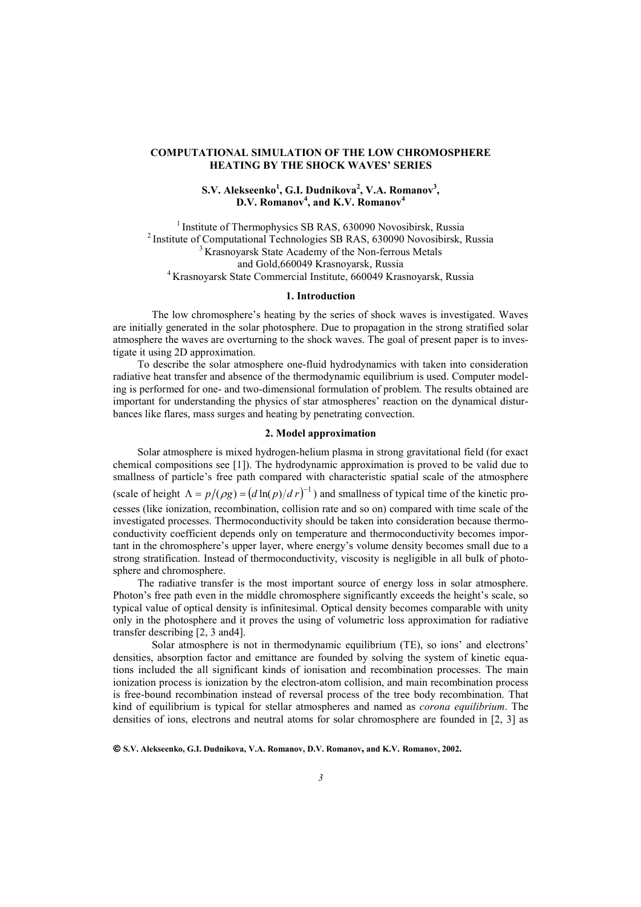### **COMPUTATIONAL SIMULATION OF THE LOW CHROMOSPHERE HEATING BY THE SHOCK WAVES' SERIES**

# **S.V. Alekseenko<sup>1</sup> , G.I. Dudnikova<sup>2</sup> , V.A. Romanov<sup>3</sup> , D.V. Romanov<sup>4</sup> , and K.V. Romanov<sup>4</sup>**

<sup>1</sup> Institute of Thermophysics SB RAS, 630090 Novosibirsk, Russia <sup>2</sup> Institute of Computational Technologies SB RAS, 630090 Novosibirsk, Russia  $\frac{3}{3}$  Krasnoyarsk State Academy of the Non-ferrous Metals and Gold,660049 Krasnoyarsk, Russia<br><sup>4</sup> Krasnoyarsk State Commercial Institute, 660049 Krasnoyarsk, Russia

#### **1. Introduction**

The low chromosphere's heating by the series of shock waves is investigated. Waves are initially generated in the solar photosphere. Due to propagation in the strong stratified solar atmosphere the waves are overturning to the shock waves. The goal of present paper is to investigate it using 2D approximation.

To describe the solar atmosphere one-fluid hydrodynamics with taken into consideration radiative heat transfer and absence of the thermodynamic equilibrium is used. Computer modeling is performed for one- and two-dimensional formulation of problem. The results obtained are important for understanding the physics of star atmospheres' reaction on the dynamical disturbances like flares, mass surges and heating by penetrating convection.

## **2. Model approximation**

Solar atmosphere is mixed hydrogen-helium plasma in strong gravitational field (for exact chemical compositions see [1]). The hydrodynamic approximation is proved to be valid due to smallness of particle's free path compared with characteristic spatial scale of the atmosphere (scale of height  $\Lambda = p/(\rho g) = (d \ln(p)/dr)^{-1}$ ) and smallness of typical time of the kinetic processes (like ionization, recombination, collision rate and so on) compared with time scale of the investigated processes. Thermoconductivity should be taken into consideration because thermoconductivity coefficient depends only on temperature and thermoconductivity becomes important in the chromosphere's upper layer, where energy's volume density becomes small due to a strong stratification. Instead of thermoconductivity, viscosity is negligible in all bulk of photosphere and chromosphere.

The radiative transfer is the most important source of energy loss in solar atmosphere. Photon's free path even in the middle chromosphere significantly exceeds the height's scale, so typical value of optical density is infinitesimal. Optical density becomes comparable with unity only in the photosphere and it proves the using of volumetric loss approximation for radiative transfer describing [2, 3 and4].

Solar atmosphere is not in thermodynamic equilibrium (TE), so ions' and electrons' densities, absorption factor and emittance are founded by solving the system of kinetic equations included the all significant kinds of ionisation and recombination processes. The main ionization process is ionization by the electron-atom collision, and main recombination process is free-bound recombination instead of reversal process of the tree body recombination. That kind of equilibrium is typical for stellar atmospheres and named as *corona equilibrium*. The densities of ions, electrons and neutral atoms for solar chromosphere are founded in [2, 3] as

**S.V. Alekseenko, G.I. Dudnikova, V.A. Romanov, D.V. Romanov, and K.V. Romanov, 2002.**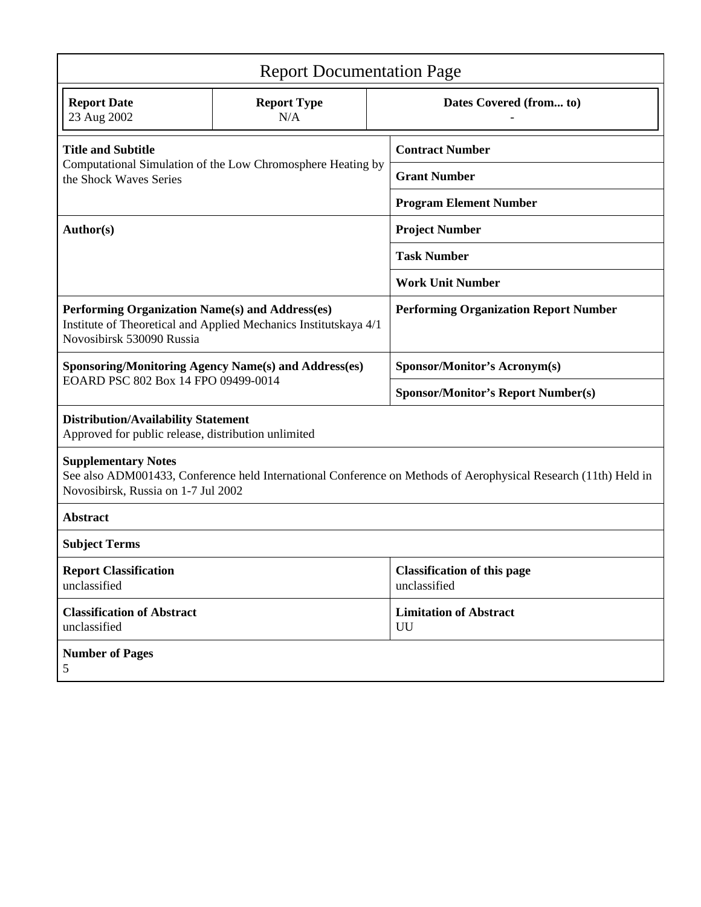| <b>Report Documentation Page</b>                                                                                                                                                     |                           |                               |                                                    |  |
|--------------------------------------------------------------------------------------------------------------------------------------------------------------------------------------|---------------------------|-------------------------------|----------------------------------------------------|--|
| <b>Report Date</b><br>23 Aug 2002                                                                                                                                                    | <b>Report Type</b><br>N/A |                               | Dates Covered (from to)                            |  |
| <b>Title and Subtitle</b><br>Computational Simulation of the Low Chromosphere Heating by<br>the Shock Waves Series                                                                   |                           |                               | <b>Contract Number</b>                             |  |
|                                                                                                                                                                                      |                           |                               | <b>Grant Number</b>                                |  |
|                                                                                                                                                                                      |                           | <b>Program Element Number</b> |                                                    |  |
| Author(s)                                                                                                                                                                            |                           |                               | <b>Project Number</b>                              |  |
|                                                                                                                                                                                      |                           | <b>Task Number</b>            |                                                    |  |
|                                                                                                                                                                                      |                           |                               | <b>Work Unit Number</b>                            |  |
| Performing Organization Name(s) and Address(es)<br>Institute of Theoretical and Applied Mechanics Institutskaya 4/1<br>Novosibirsk 530090 Russia                                     |                           |                               | <b>Performing Organization Report Number</b>       |  |
| <b>Sponsoring/Monitoring Agency Name(s) and Address(es)</b>                                                                                                                          |                           |                               | Sponsor/Monitor's Acronym(s)                       |  |
| EOARD PSC 802 Box 14 FPO 09499-0014                                                                                                                                                  |                           |                               | <b>Sponsor/Monitor's Report Number(s)</b>          |  |
| <b>Distribution/Availability Statement</b><br>Approved for public release, distribution unlimited                                                                                    |                           |                               |                                                    |  |
| <b>Supplementary Notes</b><br>See also ADM001433, Conference held International Conference on Methods of Aerophysical Research (11th) Held in<br>Novosibirsk, Russia on 1-7 Jul 2002 |                           |                               |                                                    |  |
| <b>Abstract</b>                                                                                                                                                                      |                           |                               |                                                    |  |
| <b>Subject Terms</b>                                                                                                                                                                 |                           |                               |                                                    |  |
| <b>Report Classification</b><br>unclassified                                                                                                                                         |                           |                               | <b>Classification of this page</b><br>unclassified |  |
| <b>Classification of Abstract</b><br>unclassified                                                                                                                                    |                           |                               | <b>Limitation of Abstract</b><br>UU                |  |
| <b>Number of Pages</b><br>5                                                                                                                                                          |                           |                               |                                                    |  |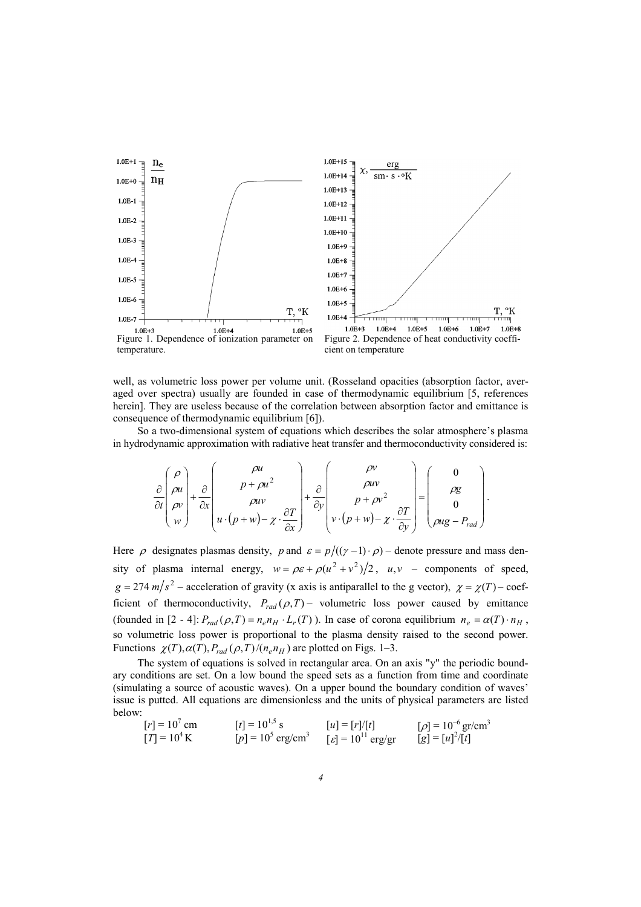

well, as volumetric loss power per volume unit. (Rosseland opacities (absorption factor, averaged over spectra) usually are founded in case of thermodynamic equilibrium [5, references herein]. They are useless because of the correlation between absorption factor and emittance is consequence of thermodynamic equilibrium [6]).

So a two-dimensional system of equations which describes the solar atmosphere's plasma in hydrodynamic approximation with radiative heat transfer and thermoconductivity considered is:

$$
\frac{\partial}{\partial t}\begin{pmatrix} \rho \\ \rho u \\ \rho v \\ w \end{pmatrix} + \frac{\partial}{\partial x}\begin{pmatrix} \rho u \\ p + \rho u^2 \\ \rho u v \\ u \cdot (p + w) - \chi \cdot \frac{\partial T}{\partial x} \end{pmatrix} + \frac{\partial}{\partial y}\begin{pmatrix} \rho v \\ \rho u v \\ p + \rho v^2 \\ v \cdot (p + w) - \chi \cdot \frac{\partial T}{\partial y} \end{pmatrix} = \begin{pmatrix} 0 \\ \rho g \\ 0 \\ \rho u g - P_{rad} \end{pmatrix}.
$$

Here  $\rho$  designates plasmas density,  $p$  and  $\varepsilon = p/((\gamma - 1) \cdot \rho)$  – denote pressure and mass density of plasma internal energy,  $w = \rho \varepsilon + \rho (u^2 + v^2)/2$ ,  $u, v$  – components of speed,  $g = 274 \frac{m}{s^2} -$  acceleration of gravity (x axis is antiparallel to the g vector),  $\chi = \chi(T) - \text{coeff}$ ficient of thermoconductivity,  $P_{rad}(\rho, T)$  – volumetric loss power caused by emittance (founded in [2 - 4]:  $P_{rad}(\rho, T) = n_e n_H \cdot L_r(T)$ ). In case of corona equilibrium  $n_e = \alpha(T) \cdot n_H$ , so volumetric loss power is proportional to the plasma density raised to the second power. Functions  $\chi(T), \alpha(T), P_{rad}(\rho, T)/(n_e n_H)$  are plotted on Figs. 1–3.

The system of equations is solved in rectangular area. On an axis "y" the periodic boundary conditions are set. On a low bound the speed sets as a function from time and coordinate (simulating a source of acoustic waves). On a upper bound the boundary condition of waves' issue is putted. All equations are dimensionless and the units of physical parameters are listed below:

$$
[r] = 10^7
$$
 cm  $[t] = 10^{1.5}$  s  $[u] = [r]/[t]$   $[p] = 10^{-6}$  gr/cm<sup>3</sup>  
\n $[T] = 10^4$  K  $[p] = 10^5$  erg/cm<sup>3</sup>  $[g] = 10^{11}$  erg/gr  $[g] = [u]^2/[t]$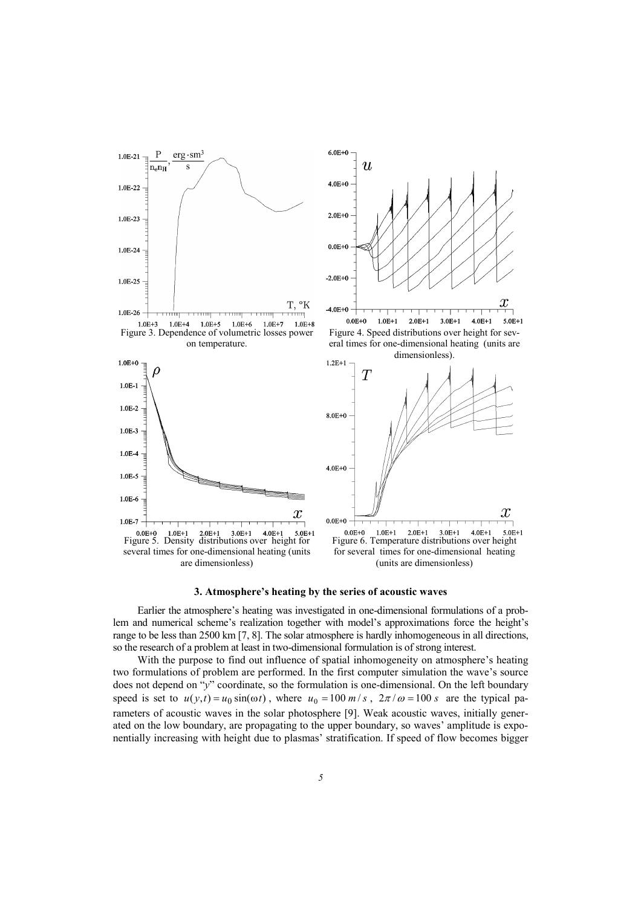









Earlier the atmosphere's heating was investigated in one-dimensional formulations of a problem and numerical scheme's realization together with model's approximations force the height's range to be less than 2500 km [7, 8]. The solar atmosphere is hardly inhomogeneous in all directions, so the research of a problem at least in two-dimensional formulation is of strong interest.

With the purpose to find out influence of spatial inhomogeneity on atmosphere's heating two formulations of problem are performed. In the first computer simulation the wave's source does not depend on "*y*" coordinate, so the formulation is one-dimensional. On the left boundary speed is set to  $u(y, t) = u_0 \sin(\omega t)$ , where  $u_0 = 100 \, \text{m/s}$ ,  $2\pi/\omega = 100 \, \text{s}$  are the typical parameters of acoustic waves in the solar photosphere [9]. Weak acoustic waves, initially generated on the low boundary, are propagating to the upper boundary, so waves' amplitude is exponentially increasing with height due to plasmas' stratification. If speed of flow becomes bigger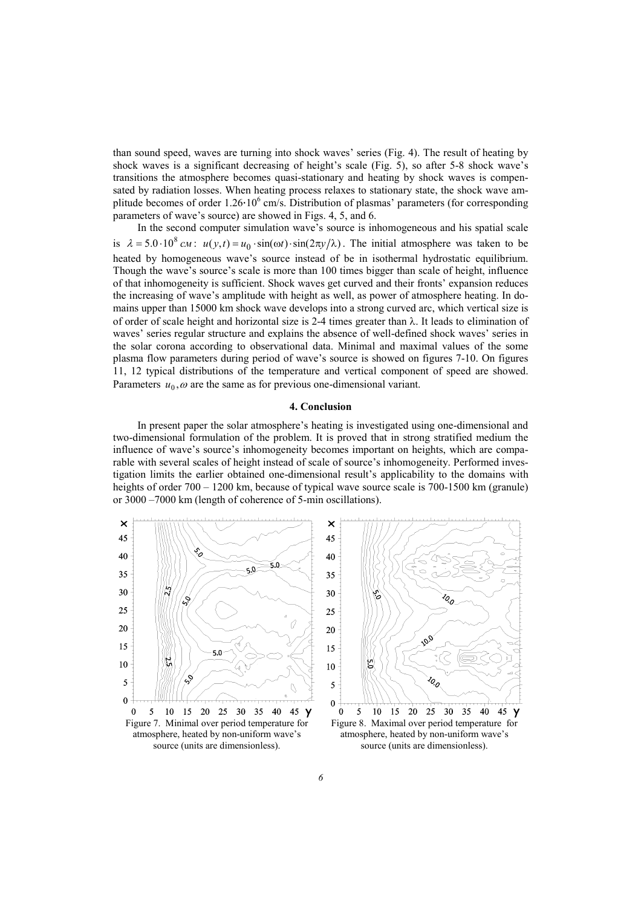than sound speed, waves are turning into shock waves' series (Fig. 4). The result of heating by shock waves is a significant decreasing of height's scale (Fig. 5), so after 5-8 shock wave's transitions the atmosphere becomes quasi-stationary and heating by shock waves is compensated by radiation losses. When heating process relaxes to stationary state, the shock wave amplitude becomes of order  $1.26 \cdot 10^6$  cm/s. Distribution of plasmas' parameters (for corresponding parameters of wave's source) are showed in Figs. 4, 5, and 6.

In the second computer simulation wave's source is inhomogeneous and his spatial scale is  $\lambda = 5.0 \cdot 10^8$  *cm*:  $u(y,t) = u_0 \cdot \sin(\omega t) \cdot \sin(2\pi y/\lambda)$ . The initial atmosphere was taken to be heated by homogeneous wave's source instead of be in isothermal hydrostatic equilibrium. Though the wave's source's scale is more than 100 times bigger than scale of height, influence of that inhomogeneity is sufficient. Shock waves get curved and their fronts' expansion reduces the increasing of wave's amplitude with height as well, as power of atmosphere heating. In domains upper than 15000 km shock wave develops into a strong curved arc, which vertical size is of order of scale height and horizontal size is 2-4 times greater than  $\lambda$ . It leads to elimination of waves' series regular structure and explains the absence of well-defined shock waves' series in the solar corona according to observational data. Minimal and maximal values of the some plasma flow parameters during period of wave's source is showed on figures 7-10. On figures 11, 12 typical distributions of the temperature and vertical component of speed are showed. Parameters  $u_0$ ,  $\omega$  are the same as for previous one-dimensional variant.

## **4. Conclusion**

In present paper the solar atmosphere's heating is investigated using one-dimensional and two-dimensional formulation of the problem. It is proved that in strong stratified medium the influence of wave's source's inhomogeneity becomes important on heights, which are comparable with several scales of height instead of scale of source's inhomogeneity. Performed investigation limits the earlier obtained one-dimensional result's applicability to the domains with heights of order 700 – 1200 km, because of typical wave source scale is 700-1500 km (granule) or 3000 –7000 km (length of coherence of 5-min oscillations).



source (units are dimensionless).



Figure 8. Maximal over period temperature for atmosphere, heated by non-uniform wave's source (units are dimensionless).